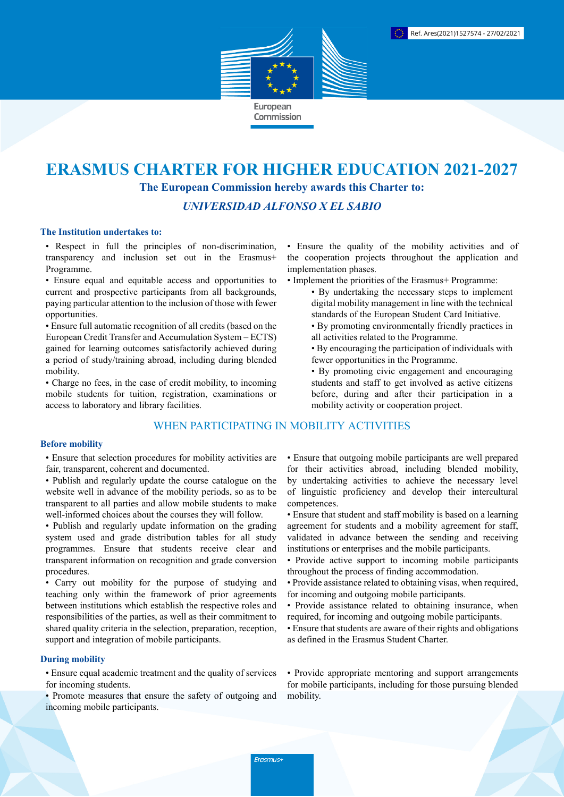

# **ERASMUS CHARTER FOR HIGHER EDUCATION 2021-2027**

**The European Commission hereby awards this Charter to:**

*UNIVERSIDAD ALFONSO X EL SABIO*

#### **The Institution undertakes to:**

• Respect in full the principles of non-discrimination, transparency and inclusion set out in the Erasmus+ Programme.

• Ensure equal and equitable access and opportunities to current and prospective participants from all backgrounds, paying particular attention to the inclusion of those with fewer opportunities.

• Ensure full automatic recognition of all credits (based on the European Credit Transfer and Accumulation System – ECTS) gained for learning outcomes satisfactorily achieved during a period of study/training abroad, including during blended mobility.

• Charge no fees, in the case of credit mobility, to incoming mobile students for tuition, registration, examinations or access to laboratory and library facilities.

## WHEN PARTICIPATING IN MOBILITY ACTIVITIES

## **Before mobility**

• Ensure that selection procedures for mobility activities are fair, transparent, coherent and documented.

- Publish and regularly update the course catalogue on the website well in advance of the mobility periods, so as to be transparent to all parties and allow mobile students to make well-informed choices about the courses they will follow.
- Publish and regularly update information on the grading system used and grade distribution tables for all study programmes. Ensure that students receive clear and transparent information on recognition and grade conversion procedures.

• Carry out mobility for the purpose of studying and teaching only within the framework of prior agreements between institutions which establish the respective roles and responsibilities of the parties, as well as their commitment to shared quality criteria in the selection, preparation, reception, support and integration of mobile participants.

## **During mobility**

• Ensure equal academic treatment and the quality of services for incoming students.

• Promote measures that ensure the safety of outgoing and incoming mobile participants.

• Ensure the quality of the mobility activities and of the cooperation projects throughout the application and implementation phases.

- Implement the priorities of the Erasmus+ Programme:
	- By undertaking the necessary steps to implement digital mobility management in line with the technical standards of the European Student Card Initiative.
	- By promoting environmentally friendly practices in all activities related to the Programme.
	- By encouraging the participation of individuals with fewer opportunities in the Programme.
	- By promoting civic engagement and encouraging students and staff to get involved as active citizens before, during and after their participation in a mobility activity or cooperation project.

• Ensure that outgoing mobile participants are well prepared for their activities abroad, including blended mobility, by undertaking activities to achieve the necessary level of linguistic proficiency and develop their intercultural competences.

- Ensure that student and staff mobility is based on a learning agreement for students and a mobility agreement for staff, validated in advance between the sending and receiving institutions or enterprises and the mobile participants.
- Provide active support to incoming mobile participants throughout the process of finding accommodation.
- Provide assistance related to obtaining visas, when required, for incoming and outgoing mobile participants.
- Provide assistance related to obtaining insurance, when required, for incoming and outgoing mobile participants.
- Ensure that students are aware of their rights and obligations as defined in the Erasmus Student Charter.

• Provide appropriate mentoring and support arrangements for mobile participants, including for those pursuing blended mobility.

Erasmus+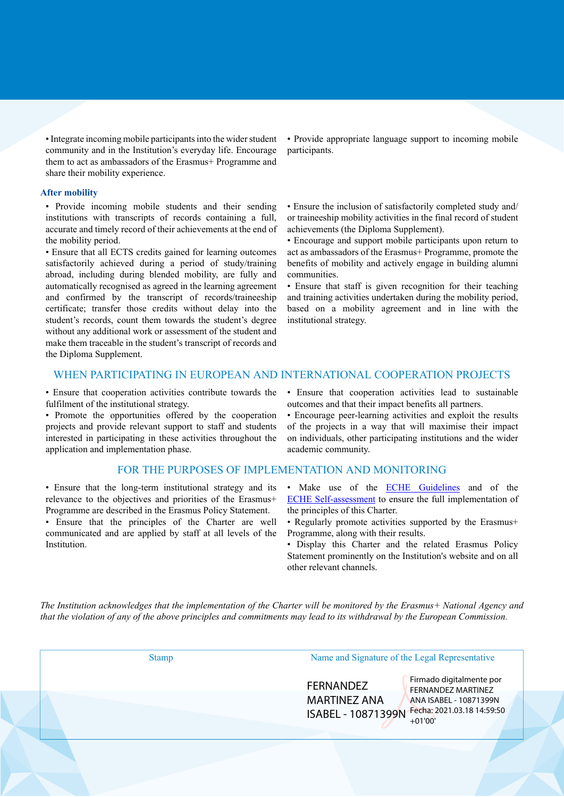• Integrate incoming mobile participants into the wider student community and in the Institution's everyday life. Encourage them to act as ambassadors of the Erasmus+ Programme and share their mobility experience.

#### **After mobility**

• Provide incoming mobile students and their sending institutions with transcripts of records containing a full, accurate and timely record of their achievements at the end of the mobility period.

• Ensure that all ECTS credits gained for learning outcomes satisfactorily achieved during a period of study/training abroad, including during blended mobility, are fully and automatically recognised as agreed in the learning agreement and confirmed by the transcript of records/traineeship certificate; transfer those credits without delay into the student's records, count them towards the student's degree without any additional work or assessment of the student and make them traceable in the student's transcript of records and the Diploma Supplement.

• Provide appropriate language support to incoming mobile participants.

• Ensure the inclusion of satisfactorily completed study and/ or traineeship mobility activities in the final record of student achievements (the Diploma Supplement).

• Encourage and support mobile participants upon return to act as ambassadors of the Erasmus+ Programme, promote the benefits of mobility and actively engage in building alumni communities.

• Ensure that staff is given recognition for their teaching and training activities undertaken during the mobility period, based on a mobility agreement and in line with the institutional strategy.

## WHEN PARTICIPATING IN EUROPEAN AND INTERNATIONAL COOPERATION PROJECTS

• Ensure that cooperation activities contribute towards the fulfilment of the institutional strategy.

• Promote the opportunities offered by the cooperation projects and provide relevant support to staff and students interested in participating in these activities throughout the application and implementation phase.

### FOR THE PURPOSES OF IMPLEMENTATION AND MONITORING

• Ensure that the long-term institutional strategy and its relevance to the objectives and priorities of the Erasmus+ Programme are described in the Erasmus Policy Statement.

• Ensure that the principles of the Charter are well communicated and are applied by staff at all levels of the Institution.

• Ensure that cooperation activities lead to sustainable outcomes and that their impact benefits all partners.

• Encourage peer-learning activities and exploit the results of the projects in a way that will maximise their impact on individuals, other participating institutions and the wider academic community.

- Make use of the **ECHE Guidelines** and of the [ECHE Self-assessment](https://ec.europa.eu/programmes/erasmus-plus/eche/start_en) to ensure the full implementation of the principles of this Charter.
- Regularly promote activities supported by the Erasmus+ Programme, along with their results.
- Display this Charter and the related Erasmus Policy Statement prominently on the Institution's website and on all other relevant channels.

The Institution acknowledges that the implementation of the Charter will be monitored by the Erasmus+ National Agency and that the violation of any of the above principles and commitments may lead to its withdrawal by the European Commission.

| <b>Stamp</b> | Name and Signature of the Legal Representative                                                                                                                                              |  |
|--------------|---------------------------------------------------------------------------------------------------------------------------------------------------------------------------------------------|--|
|              | Firmado digitalmente por<br><b>FERNANDEZ</b><br><b>FERNANDEZ MARTINEZ</b><br><b>MARTINEZ ANA</b><br>ANA ISABEL - 10871399N<br>Fecha: 2021.03.18 14:59:50<br>ISABEL - 10871399N<br>$+01'00'$ |  |
|              |                                                                                                                                                                                             |  |